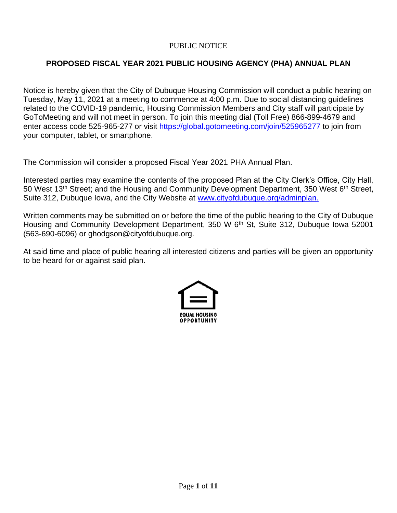### PUBLIC NOTICE

# **PROPOSED FISCAL YEAR 2021 PUBLIC HOUSING AGENCY (PHA) ANNUAL PLAN**

Notice is hereby given that the City of Dubuque Housing Commission will conduct a public hearing on Tuesday, May 11, 2021 at a meeting to commence at 4:00 p.m. Due to social distancing guidelines related to the COVID-19 pandemic, Housing Commission Members and City staff will participate by GoToMeeting and will not meet in person. To join this meeting dial (Toll Free) 866-899-4679 and enter access code 525-965-277 or visit<https://global.gotomeeting.com/join/525965277> to join from your computer, tablet, or smartphone.

The Commission will consider a proposed Fiscal Year 2021 PHA Annual Plan.

Interested parties may examine the contents of the proposed Plan at the City Clerk's Office, City Hall, 50 West 13<sup>th</sup> Street; and the Housing and Community Development Department, 350 West 6<sup>th</sup> Street, Suite 312, Dubuque Iowa, and the City Website at [www.cityofdubuque.org/adminplan.](http://www.cityofdubuque.org/adminplan)

Written comments may be submitted on or before the time of the public hearing to the City of Dubuque Housing and Community Development Department, 350 W 6<sup>th</sup> St, Suite 312, Dubuque Iowa 52001 (563-690-6096) or ghodgson@cityofdubuque.org.

At said time and place of public hearing all interested citizens and parties will be given an opportunity to be heard for or against said plan.

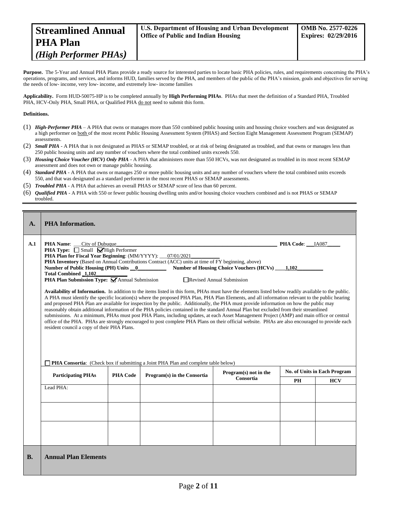| <b>Streamlined Annual</b>      | <b>U.S. Department of Housing and Urban Development</b> | $\sim$ OMB No. 2577-0226   |
|--------------------------------|---------------------------------------------------------|----------------------------|
| <b>PHA Plan</b>                | <b>Office of Public and Indian Housing</b>              | <b>Expires: 02/29/2016</b> |
| ( <i>High Performer PHAs</i> ) |                                                         |                            |

Purpose. The 5-Year and Annual PHA Plans provide a ready source for interested parties to locate basic PHA policies, rules, and requirements concerning the PHA's operations, programs, and services, and informs HUD, families served by the PHA, and members of the public of the PHA's mission, goals and objectives for serving the needs of low- income, very low- income, and extremely low- income families

**Applicability.** Form HUD-50075-HP is to be completed annually by **High Performing PHAs**. PHAs that meet the definition of a Standard PHA, Troubled PHA, HCV-Only PHA, Small PHA, or Qualified PHA do not need to submit this form.

#### **Definitions.**

- (1) *High-Performer PHA* A PHA that owns or manages more than 550 combined public housing units and housing choice vouchers and was designated as a high performer on both of the most recent Public Housing Assessment System (PHAS) and Section Eight Management Assessment Program (SEMAP) assessments.
- (2) *Small PHA* A PHA that is not designated as PHAS or SEMAP troubled, or at risk of being designated as troubled, and that owns or manages less than 250 public housing units and any number of vouchers where the total combined units exceeds 550.
- (3) *Housing Choice Voucher (HCV) Only PHA* A PHA that administers more than 550 HCVs, was not designated as troubled in its most recent SEMAP assessment and does not own or manage public housing.
- (4) *Standard PHA* A PHA that owns or manages 250 or more public housing units and any number of vouchers where the total combined units exceeds 550, and that was designated as a standard performer in the most recent PHAS or SEMAP assessments.
- (5) *Troubled PHA* **-** A PHA that achieves an overall PHAS or SEMAP score of less than 60 percent.
- (6) *Qualified PHA* A PHA with 550 or fewer public housing dwelling units and/or housing choice vouchers combined and is not PHAS or SEMAP troubled.

| $\mathbf{A}$ . | <b>PHA</b> Information.                                                                                                                                                                                                                                                                                                                                                                                                                                                                                                                                                                                                                                                                                                                                                                                                                                                                                                                                                                                                                                                                                                                                                                                                                                                                                                                                                                                                                                                                                                                          |                 |                             |                       |    |                              |  |  |
|----------------|--------------------------------------------------------------------------------------------------------------------------------------------------------------------------------------------------------------------------------------------------------------------------------------------------------------------------------------------------------------------------------------------------------------------------------------------------------------------------------------------------------------------------------------------------------------------------------------------------------------------------------------------------------------------------------------------------------------------------------------------------------------------------------------------------------------------------------------------------------------------------------------------------------------------------------------------------------------------------------------------------------------------------------------------------------------------------------------------------------------------------------------------------------------------------------------------------------------------------------------------------------------------------------------------------------------------------------------------------------------------------------------------------------------------------------------------------------------------------------------------------------------------------------------------------|-----------------|-----------------------------|-----------------------|----|------------------------------|--|--|
| A.1            | <b>PHA Name:</b><br>City of Dubuque<br>PHA Code: IA087<br><b>PHA Type:</b> $\Box$ Small $\Box$ High Performer<br>PHA Plan for Fiscal Year Beginning: (MM/YYYY): 07/01/2021<br>PHA Inventory (Based on Annual Contributions Contract (ACC) units at time of FY beginning, above)<br>Number of Housing Choice Vouchers (HCVs) 1,102<br>Number of Public Housing (PH) Units 0<br><b>Total Combined 1,102</b><br><b>PHA Plan Submission Type:</b> $\bigvee$ Annual Submission<br>Revised Annual Submission<br>Availability of Information. In addition to the items listed in this form, PHAs must have the elements listed below readily available to the public.<br>A PHA must identify the specific location(s) where the proposed PHA Plan, PHA Plan Elements, and all information relevant to the public hearing<br>and proposed PHA Plan are available for inspection by the public. Additionally, the PHA must provide information on how the public may<br>reasonably obtain additional information of the PHA policies contained in the standard Annual Plan but excluded from their streamlined<br>submissions. At a minimum, PHAs must post PHA Plans, including updates, at each Asset Management Project (AMP) and main office or central<br>office of the PHA. PHAs are strongly encouraged to post complete PHA Plans on their official website. PHAs are also encouraged to provide each<br>resident council a copy of their PHA Plans.<br><b>PHA Consortia:</b> (Check box if submitting a Joint PHA Plan and complete table below) |                 |                             |                       |    |                              |  |  |
|                | <b>Participating PHAs</b>                                                                                                                                                                                                                                                                                                                                                                                                                                                                                                                                                                                                                                                                                                                                                                                                                                                                                                                                                                                                                                                                                                                                                                                                                                                                                                                                                                                                                                                                                                                        | <b>PHA Code</b> | Program(s) in the Consortia | Program(s) not in the |    | No. of Units in Each Program |  |  |
|                |                                                                                                                                                                                                                                                                                                                                                                                                                                                                                                                                                                                                                                                                                                                                                                                                                                                                                                                                                                                                                                                                                                                                                                                                                                                                                                                                                                                                                                                                                                                                                  |                 |                             | Consortia             | PH | <b>HCV</b>                   |  |  |
|                | Lead PHA:                                                                                                                                                                                                                                                                                                                                                                                                                                                                                                                                                                                                                                                                                                                                                                                                                                                                                                                                                                                                                                                                                                                                                                                                                                                                                                                                                                                                                                                                                                                                        |                 |                             |                       |    |                              |  |  |
| <b>B.</b>      | <b>Annual Plan Elements</b>                                                                                                                                                                                                                                                                                                                                                                                                                                                                                                                                                                                                                                                                                                                                                                                                                                                                                                                                                                                                                                                                                                                                                                                                                                                                                                                                                                                                                                                                                                                      |                 |                             |                       |    |                              |  |  |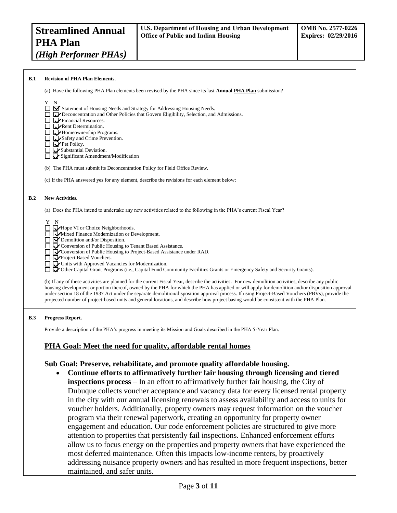| B.1 | <b>Revision of PHA Plan Elements.</b>                                                                                                                                                                                                                                                                                                                                                                                                                                                                                                                                                                                                                                                                                                                                                                                                                                                                                                                                                                                                                                                                                                    |
|-----|------------------------------------------------------------------------------------------------------------------------------------------------------------------------------------------------------------------------------------------------------------------------------------------------------------------------------------------------------------------------------------------------------------------------------------------------------------------------------------------------------------------------------------------------------------------------------------------------------------------------------------------------------------------------------------------------------------------------------------------------------------------------------------------------------------------------------------------------------------------------------------------------------------------------------------------------------------------------------------------------------------------------------------------------------------------------------------------------------------------------------------------|
|     | (a) Have the following PHA Plan elements been revised by the PHA since its last <b>Annual PHA Plan</b> submission?                                                                                                                                                                                                                                                                                                                                                                                                                                                                                                                                                                                                                                                                                                                                                                                                                                                                                                                                                                                                                       |
|     | Y<br>N<br>■ Statement of Housing Needs and Strategy for Addressing Housing Needs.<br><b>DEV</b> Deconcentration and Other Policies that Govern Eligibility, Selection, and Admissions.<br>$\Box$ $\Box$ Financial Resources.<br>Rent Determination.<br>$\Box$ Homeownership Programs.<br>Safety and Crime Prevention.<br>П.<br>$\blacktriangleright$ Pet Policy.<br>Substantial Deviation.<br>П<br>Significant Amendment/Modification<br>П                                                                                                                                                                                                                                                                                                                                                                                                                                                                                                                                                                                                                                                                                               |
|     | (b) The PHA must submit its Deconcentration Policy for Field Office Review.                                                                                                                                                                                                                                                                                                                                                                                                                                                                                                                                                                                                                                                                                                                                                                                                                                                                                                                                                                                                                                                              |
|     | (c) If the PHA answered yes for any element, describe the revisions for each element below:                                                                                                                                                                                                                                                                                                                                                                                                                                                                                                                                                                                                                                                                                                                                                                                                                                                                                                                                                                                                                                              |
| B.2 | <b>New Activities.</b>                                                                                                                                                                                                                                                                                                                                                                                                                                                                                                                                                                                                                                                                                                                                                                                                                                                                                                                                                                                                                                                                                                                   |
|     | (a) Does the PHA intend to undertake any new activities related to the following in the PHA's current Fiscal Year?                                                                                                                                                                                                                                                                                                                                                                                                                                                                                                                                                                                                                                                                                                                                                                                                                                                                                                                                                                                                                       |
|     | Y<br>N<br>Hope VI or Choice Neighborhoods.<br>□<br>Mixed Finance Modernization or Development.<br>$\Box$ $\Box$ Demolition and/or Disposition.<br>Conversion of Public Housing to Tenant Based Assistance.<br>□ ■ Conversion of Public Housing to Project-Based Assistance under RAD.<br>Project Based Vouchers.<br>Units with Approved Vacancies for Modernization.<br>П<br>Other Capital Grant Programs (i.e., Capital Fund Community Facilities Grants or Emergency Safety and Security Grants).<br>(b) If any of these activities are planned for the current Fiscal Year, describe the activities. For new demolition activities, describe any public<br>housing development or portion thereof, owned by the PHA for which the PHA has applied or will apply for demolition and/or disposition approval<br>under section 18 of the 1937 Act under the separate demolition/disposition approval process. If using Project-Based Vouchers (PBVs), provide the<br>projected number of project-based units and general locations, and describe how project basing would be consistent with the PHA Plan.                               |
| B.3 | Progress Report.<br>Provide a description of the PHA's progress in meeting its Mission and Goals described in the PHA 5-Year Plan.                                                                                                                                                                                                                                                                                                                                                                                                                                                                                                                                                                                                                                                                                                                                                                                                                                                                                                                                                                                                       |
|     |                                                                                                                                                                                                                                                                                                                                                                                                                                                                                                                                                                                                                                                                                                                                                                                                                                                                                                                                                                                                                                                                                                                                          |
|     | PHA Goal: Meet the need for quality, affordable rental homes                                                                                                                                                                                                                                                                                                                                                                                                                                                                                                                                                                                                                                                                                                                                                                                                                                                                                                                                                                                                                                                                             |
|     | Sub Goal: Preserve, rehabilitate, and promote quality affordable housing.<br>Continue efforts to affirmatively further fair housing through licensing and tiered<br><b>inspections process</b> – In an effort to affirmatively further fair housing, the City of<br>Dubuque collects voucher acceptance and vacancy data for every licensed rental property<br>in the city with our annual licensing renewals to assess availability and access to units for<br>voucher holders. Additionally, property owners may request information on the voucher<br>program via their renewal paperwork, creating an opportunity for property owner<br>engagement and education. Our code enforcement policies are structured to give more<br>attention to properties that persistently fail inspections. Enhanced enforcement efforts<br>allow us to focus energy on the properties and property owners that have experienced the<br>most deferred maintenance. Often this impacts low-income renters, by proactively<br>addressing nuisance property owners and has resulted in more frequent inspections, better<br>maintained, and safer units. |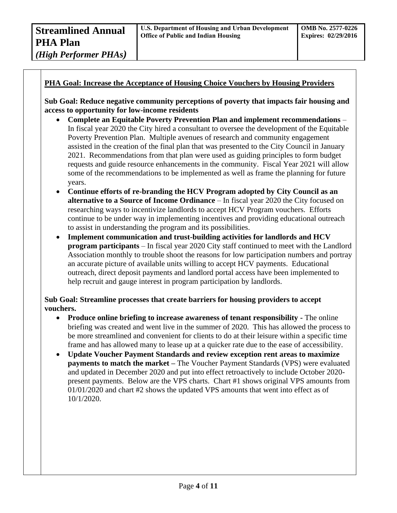### **PHA Goal: Increase the Acceptance of Housing Choice Vouchers by Housing Providers**

**Sub Goal: Reduce negative community perceptions of poverty that impacts fair housing and access to opportunity for low-income residents**

- **Complete an Equitable Poverty Prevention Plan and implement recommendations** In fiscal year 2020 the City hired a consultant to oversee the development of the Equitable Poverty Prevention Plan. Multiple avenues of research and community engagement assisted in the creation of the final plan that was presented to the City Council in January 2021. Recommendations from that plan were used as guiding principles to form budget requests and guide resource enhancements in the community. Fiscal Year 2021 will allow some of the recommendations to be implemented as well as frame the planning for future years.
- **Continue efforts of re-branding the HCV Program adopted by City Council as an alternative to a Source of Income Ordinance** – In fiscal year 2020 the City focused on researching ways to incentivize landlords to accept HCV Program vouchers. Efforts continue to be under way in implementing incentives and providing educational outreach to assist in understanding the program and its possibilities.
- **Implement communication and trust-building activities for landlords and HCV program participants** – In fiscal year 2020 City staff continued to meet with the Landlord Association monthly to trouble shoot the reasons for low participation numbers and portray an accurate picture of available units willing to accept HCV payments. Educational outreach, direct deposit payments and landlord portal access have been implemented to help recruit and gauge interest in program participation by landlords.

### **Sub Goal: Streamline processes that create barriers for housing providers to accept vouchers.**

- **Produce online briefing to increase awareness of tenant responsibility -** The online briefing was created and went live in the summer of 2020. This has allowed the process to be more streamlined and convenient for clients to do at their leisure within a specific time frame and has allowed many to lease up at a quicker rate due to the ease of accessibility.
- **Update Voucher Payment Standards and review exception rent areas to maximize payments to match the market** – The Voucher Payment Standards (VPS) were evaluated and updated in December 2020 and put into effect retroactively to include October 2020 present payments. Below are the VPS charts. Chart #1 shows original VPS amounts from 01/01/2020 and chart #2 shows the updated VPS amounts that went into effect as of 10/1/2020.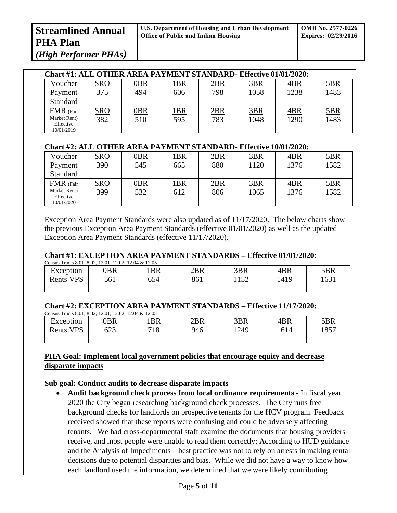*(High Performer PHAs)*

| Chart #1: ALL OTHER AREA PAYMENT STANDARD- Effective 01/01/2020: |            |        |             |            |      |      |            |
|------------------------------------------------------------------|------------|--------|-------------|------------|------|------|------------|
| Voucher                                                          | <u>SRO</u> | $0$ BR | <u> 1BR</u> | <u>2BR</u> | 3BR  | 4BR  | <u>5BR</u> |
| Payment                                                          | 375        | 494    | 606         | 798        | 1058 | 1238 | 1483       |
| Standard                                                         |            |        |             |            |      |      |            |
| FMR (Fair                                                        | <u>SRO</u> | $0$ BR | <u> 1BR</u> | 2BR        | 3BR  | 4BR  | 5BR        |
| Market Rent)<br>Effective<br>10/01/2019                          | 382        | 510    | 595         | 783        | 1048 | 1290 | 1483       |

# **Chart #2: ALL OTHER AREA PAYMENT STANDARD- Effective 10/01/2020:**

| Voucher                   | <u>SRO</u> | <u> OBR</u> | <u> 1BR</u> | 2BR | 3BR  | 4BR  | <u>5BR</u> |
|---------------------------|------------|-------------|-------------|-----|------|------|------------|
| Payment                   | 390        | 545         | 665         | 880 | 1120 | 1376 | 1582       |
| Standard                  |            |             |             |     |      |      |            |
| FMR (Fair                 | <u>SRO</u> | $0$ BR      | <u> 1BR</u> | 2BR | 3BR  | 4BR  | <u>5BR</u> |
| Market Rent)<br>Effective | 399        | 532         | 612         | 806 | 1065 | 1376 | 1582       |
| 10/01/2020                |            |             |             |     |      |      |            |

Exception Area Payment Standards were also updated as of 11/17/2020. The below charts show the previous Exception Area Payment Standards (effective 01/01/2020) as well as the updated Exception Area Payment Standards (effective 11/17/2020).

# **Chart #1: EXCEPTION AREA PAYMENT STANDARDS – Effective 01/01/2020:**

| Census Tracts 8.01, 8.02, 12.01, 12.02, 12.04 & 12.05 |             |             |            |            |            |            |  |  |
|-------------------------------------------------------|-------------|-------------|------------|------------|------------|------------|--|--|
| Exception                                             | <u> 0BR</u> | <u> 1BR</u> | <u>2BR</u> | <u>3BR</u> | <u>4BR</u> | <u>5BR</u> |  |  |
| Rents VPS                                             | 561         | 654         | 861        | 152        | 1419       | 1631       |  |  |
|                                                       |             |             |            |            |            |            |  |  |

# **Chart #2: EXCEPTION AREA PAYMENT STANDARDS – Effective 11/17/2020:**

| Census Tracts 8.01, 8.02, 12.01, 12.02, 12.04 & 12.05 |            |                 |            |            |      |            |  |  |
|-------------------------------------------------------|------------|-----------------|------------|------------|------|------------|--|--|
| Exception                                             | <u>)BR</u> | 1B <sub>R</sub> | <u>2BR</u> | <u>3BR</u> | 4BR  | <u>5BR</u> |  |  |
| <b>Rents VPS</b>                                      | 623        | 718             | 946        | 1249       | 1614 | 1857       |  |  |
|                                                       |            |                 |            |            |      |            |  |  |

### **PHA Goal: Implement local government policies that encourage equity and decrease disparate impacts**

### **Sub goal: Conduct audits to decrease disparate impacts**

• **Audit background check process from local ordinance requirements -** In fiscal year 2020 the City began researching background check processes. The City runs free background checks for landlords on prospective tenants for the HCV program. Feedback received showed that these reports were confusing and could be adversely affecting tenants. We had cross-departmental staff examine the documents that housing providers receive, and most people were unable to read them correctly; According to HUD guidance and the Analysis of Impediments – best practice was not to rely on arrests in making rental decisions due to potential disparities and bias. While we did not have a way to know how each landlord used the information, we determined that we were likely contributing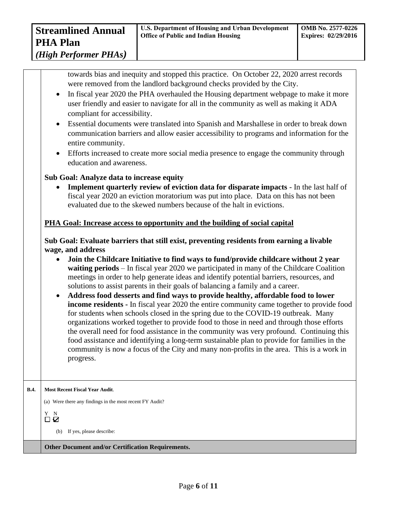*(High Performer PHAs)*

towards bias and inequity and stopped this practice. On October 22, 2020 arrest records were removed from the landlord background checks provided by the City.

- In fiscal year 2020 the PHA overhauled the Housing department webpage to make it more user friendly and easier to navigate for all in the community as well as making it ADA compliant for accessibility.
- Essential documents were translated into Spanish and Marshallese in order to break down communication barriers and allow easier accessibility to programs and information for the entire community.
- Efforts increased to create more social media presence to engage the community through education and awareness.

### **Sub Goal: Analyze data to increase equity**

• **Implement quarterly review of eviction data for disparate impacts** - In the last half of fiscal year 2020 an eviction moratorium was put into place. Data on this has not been evaluated due to the skewed numbers because of the halt in evictions.

### **PHA Goal: Increase access to opportunity and the building of social capital**

**Sub Goal: Evaluate barriers that still exist, preventing residents from earning a livable wage, and address**

- **Join the Childcare Initiative to find ways to fund/provide childcare without 2 year waiting periods** – In fiscal year 2020 we participated in many of the Childcare Coalition meetings in order to help generate ideas and identify potential barriers, resources, and solutions to assist parents in their goals of balancing a family and a career.
- **Address food desserts and find ways to provide healthy, affordable food to lower income residents -** In fiscal year 2020 the entire community came together to provide food for students when schools closed in the spring due to the COVID-19 outbreak. Many organizations worked together to provide food to those in need and through those efforts the overall need for food assistance in the community was very profound. Continuing this food assistance and identifying a long-term sustainable plan to provide for families in the community is now a focus of the City and many non-profits in the area. This is a work in progress.

**B.4. Most Recent Fiscal Year Audit**.

(a) Were there any findings in the most recent FY Audit?

Y N  $\Box$ , \Box

(b) If yes, please describe:

**Other Document and/or Certification Requirements.**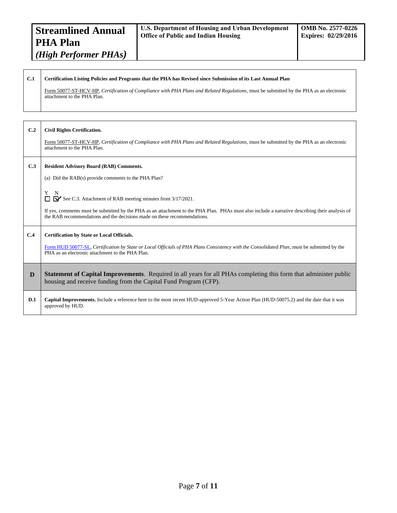#### **C.1 Certification Listing Policies and Programs that the PHA has Revised since Submission of its Last Annual Plan**

Form 50077-ST-HCV-HP, *Certification of Compliance with PHA Plans and Related Regulations,* must be submitted by the PHA as an electronic attachment to the PHA Plan.

# **C.2 Civil Rights Certification.**

Form 50077-ST-HCV-HP, Certification of Compliance with PHA Plans and Related Regulations, must be submitted by the PHA as an electronic attachment to the PHA Plan.

#### **C.3 Resident Advisory Board (RAB) Comments.**

(a) Did the RAB(s) provide comments to the PHA Plan?

Y N See C.3. Attachment of RAB meeting minutes from 3/17/2021.

If yes, comments must be submitted by the PHA as an attachment to the PHA Plan. PHAs must also include a narrative describing their analysis of the RAB recommendations and the decisions made on these recommendations.

#### **C.4 Certification by State or Local Officials.**

[Form HUD 50077-SL,](http://www.hud.gov/offices/adm/hudclips/forms/files/50077sl.doc) *Certification by State or Local Officials of PHA Plans Consistency with the Consolidated Plan*, must be submitted by the PHA as an electronic attachment to the PHA Plan.

**D Statement of Capital Improvements**. Required in all years for all PHAs completing this form that administer public housing and receive funding from the Capital Fund Program (CFP).

#### **D.1 Capital Improvements.** Include a reference here to the most recent HUD-approved 5-Year Action Plan (HUD-50075.2) and the date that it was approved by HUD.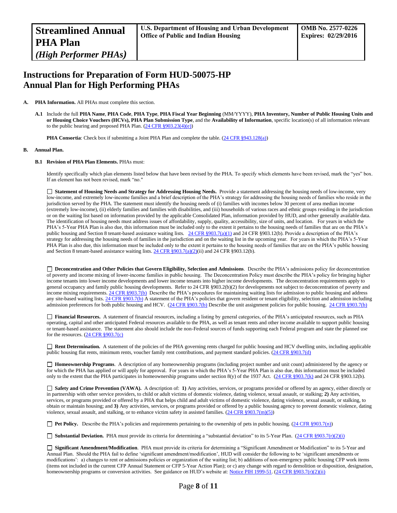# **Instructions for Preparation of Form HUD-50075-HP Annual Plan for High Performing PHAs**

#### **A. PHA Information.** All PHAs must complete this section.

**A.1** Include the full **PHA Name**, **PHA Code**, **PHA Type**, **PHA Fiscal Year Beginning** (MM/YYYY), **PHA Inventory, Number of Public Housing Units and or Housing Choice Vouchers (HCVs), PHA Plan Submission Type**, and the **Availability of Information**, specific location(s) of all information relevant to the public hearing and proposed PHA Plan.  $(24 \text{ CFR } \S 903.23(4)(e))$ 

**PHA Consortia**: Check box if submitting a Joint PHA Plan and complete the table. [\(24 CFR §943.128\(a\)\)](http://ecfr.gpoaccess.gov/cgi/t/text/text-idx?c=ecfr&sid=cc31cf1c3a2b84ba4ead75d35d258f67&rgn=div5&view=text&node=24:4.0.3.1.10&idno=24#24:4.0.3.1.10.2.5.7)

#### **B. Annual Plan.**

#### **B.1 Revision of PHA Plan Elements.** PHAs must:

Identify specifically which plan elements listed below that have been revised by the PHA. To specify which elements have been revised, mark the "yes" box. If an element has not been revised, mark "no."

 **Statement of Housing Needs and Strategy for Addressing Housing Needs.** Provide a statement addressing the housing needs of low-income, very low-income, and extremely low-income families and a brief description of the PHA's strategy for addressing the housing needs of families who reside in the jurisdiction served by the PHA. The statement must identify the housing needs of (i) families with incomes below 30 percent of area median income (extremely low-income), (ii) elderly families and families with disabilities, and (iii) households of various races and ethnic groups residing in the jurisdiction or on the waiting list based on information provided by the applicable Consolidated Plan, information provided by HUD, and other generally available data. The identification of housing needs must address issues of affordability, supply, quality, accessibility, size of units, and location. For years in which the PHA's 5-Year PHA Plan is also due, this information must be included only to the extent it pertains to the housing needs of families that are on the PHA's public housing and Section 8 tenant-based assistance waiting lists. [24 CFR §903.7\(a\)\(1\)](http://ecfr.gpoaccess.gov/cgi/t/text/text-idx?c=ecfr&sid=13734845220744370804c20da2294a03&rgn=div5&view=text&node=24:4.0.3.1.3&idno=24#24:4.0.3.1.3.2.5.5) and 24 CFR §903.12(b). Provide a description of the PHA's strategy for addressing the housing needs of families in the jurisdiction and on the waiting list in the upcoming year. For years in which the PHA's 5-Year PHA Plan is also due, this information must be included only to the extent it pertains to the housing needs of families that are on the PHA's public housing and Section 8 tenant-based assistance waiting lists. 24 CFR  $\S 903.7(a)(2)(ii)$  and 24 CFR  $\S 903.12(b)$ .

 **Deconcentration and Other Policies that Govern Eligibility, Selection and Admissions**. Describe the PHA's admissions policy for deconcentration of poverty and income mixing of lower-income families in public housing. The Deconcentration Policy must describe the PHA's policy for bringing higher income tenants into lower income developments and lower income tenants into higher income developments. The deconcentration requirements apply to general occupancy and family public housing developments. Refer to 24 CFR §903.2(b)(2) for developments not subject to deconcentration of poverty and income mixing requirements.  $24$  CFR §903.7(b) Describe the PHA's procedures for maintaining waiting lists for admission to public housing and address any site-based waiting lists[. 24 CFR §903.7\(b\)](http://ecfr.gpoaccess.gov/cgi/t/text/text-idx?c=ecfr&sid=b44bf19bef93dd31287608d2c687e271&rgn=div5&view=text&node=24:4.0.3.1.3&idno=24#24:4.0.3.1.3.2.5.5) A statement of the PHA's policies that govern resident or tenant eligibility, selection and admission including admission preferences for both public housing and HCV. [\(24 CFR §903.7\(b\)](http://ecfr.gpoaccess.gov/cgi/t/text/text-idx?c=ecfr&sid=b44bf19bef93dd31287608d2c687e271&rgn=div5&view=text&node=24:4.0.3.1.3&idno=24#24:4.0.3.1.3.2.5.5) Describe the unit assignment policies for public housing. [24 CFR §903.7\(b\)](http://ecfr.gpoaccess.gov/cgi/t/text/text-idx?c=ecfr&sid=b44bf19bef93dd31287608d2c687e271&rgn=div5&view=text&node=24:4.0.3.1.3&idno=24#24:4.0.3.1.3.2.5.5)

 **Financial Resources.** A statement of financial resources, including a listing by general categories, of the PHA's anticipated resources, such as PHA operating, capital and other anticipated Federal resources available to the PHA, as well as tenant rents and other income available to support public housing or tenant-based assistance. The statement also should include the non-Federal sources of funds supporting each Federal program and state the planned use for the resources.  $(24 \text{ CFR } \text{\textless} 903.7(c))$ 

■ **Rent Determination.** A statement of the policies of the PHA governing rents charged for public housing and HCV dwelling units, including applicable public housing flat rents, minimum rents, voucher family rent contributions, and payment standard policies. [\(24 CFR §903.7\(d\)](http://ecfr.gpoaccess.gov/cgi/t/text/text-idx?c=ecfr&sid=b44bf19bef93dd31287608d2c687e271&rgn=div5&view=text&node=24:4.0.3.1.3&idno=24#24:4.0.3.1.3.2.5.5)

 **Homeownership Programs**. A description of any homeownership programs (including project number and unit count) administered by the agency or for which the PHA has applied or will apply for approval. For years in which the PHA's 5-Year PHA Plan is also due, this information must be included only to the extent that the PHA participates in homeownership programs under section 8(y) of the 1937 Act. (24 CFR [§903.7\(k\)](http://ecfr.gpoaccess.gov/cgi/t/text/text-idx?c=ecfr&sid=b44bf19bef93dd31287608d2c687e271&rgn=div5&view=text&node=24:4.0.3.1.3&idno=24#24:4.0.3.1.3.2.5.5) and 24 CFR §903.12(b).

 **Safety and Crime Prevention (VAWA).** A description of: **1)** Any activities, services, or programs provided or offered by an agency, either directly or in partnership with other service providers, to child or adult victims of domestic violence, dating violence, sexual assault, or stalking; **2)** Any activities, services, or programs provided or offered by a PHA that helps child and adult victims of domestic violence, dating violence, sexual assault, or stalking, to obtain or maintain housing; and **3)** Any activities, services, or programs provided or offered by a public housing agency to prevent domestic violence, dating violence, sexual assault, and stalking, or to enhance victim safety in assisted families.  $(24 \text{ CFR } \text{\textless{903.7}}(m)(5))$ 

**Pet Policy.** Describe the PHA's policies and requirements pertaining to the ownership of pets in public housing. [\(24 CFR §903.7\(n\)\)](http://ecfr.gpoaccess.gov/cgi/t/text/text-idx?c=ecfr&sid=13734845220744370804c20da2294a03&rgn=div5&view=text&node=24:4.0.3.1.3&idno=24#24:4.0.3.1.3.2.5.5)

■ **Substantial Deviation.** PHA must provide its criteria for determining a "substantial deviation" to its 5-Year Plan. (24 CFR §903.7(r)(2)(i)

 **Significant Amendment/Modification**. PHA must provide its criteria for determining a "Significant Amendment or Modification" to its 5-Year and Annual Plan. Should the PHA fail to define 'significant amendment/modification', HUD will consider the following to be 'significant amendments or modifications': a) changes to rent or admissions policies or organization of the waiting list; b) additions of non-emergency public housing CFP work items (items not included in the current CFP Annual Statement or CFP 5-Year Action Plan); or c) any change with regard to demolition or disposition, designation, homeownership programs or conversion activities. See guidance on HUD's website at: [Notice PIH 1999-51.](http://portal.hud.gov/hudportal/HUD?src=/program_offices/administration/hudclips/notices/pih) (24 CFR §903.7(r)(2)(ii)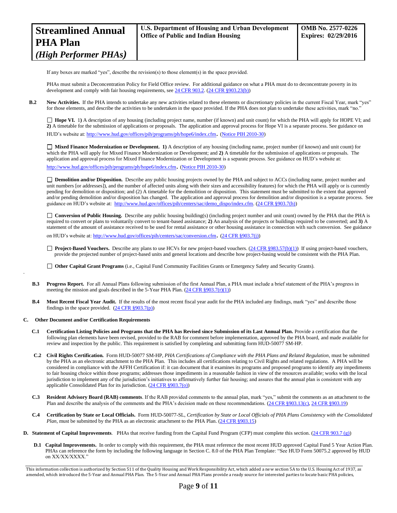If any boxes are marked "yes", describe the revision(s) to those element(s) in the space provided.

PHAs must submit a Deconcentration Policy for Field Office review. For additional guidance on what a PHA must do to deconcentrate poverty in its development and comply with fair housing requirements, se[e 24 CFR 903.2.](http://ecfr.gpoaccess.gov/cgi/t/text/text-idx?c=ecfr&sid=31b6a8e6f1110b36cc115eb6e4d5e3b4&rgn=div5&view=text&node=24:4.0.3.1.3&idno=24#24:4.0.3.1.3.1.5.2) [\(24 CFR §903.23\(b\)\)](http://ecfr.gpoaccess.gov/cgi/t/text/text-idx?c=ecfr&sid=13734845220744370804c20da2294a03&rgn=div5&view=text&node=24:4.0.3.1.3&idno=24#24:4.0.3.1.3.2.5.9)

**B.2** New Activities. If the PHA intends to undertake any new activities related to these elements or discretionary policies in the current Fiscal Year, mark "yes" for those elements, and describe the activities to be undertaken in the space provided. If the PHA does not plan to undertake these activities, mark "no."

□ Hope VI. 1) A description of any housing (including project name, number (if known) and unit count) for which the PHA will apply for HOPE VI; and **2)** A timetable for the submission of applications or proposals. The application and approval process for Hope VI is a separate process. See guidance on HUD's website at[: http://www.hud.gov/offices/pih/programs/ph/hope6/index.cfm](http://www.hud.gov/offices/pih/programs/ph/hope6/index.cfm). [\(Notice PIH 2010-30\)](http://www.hud.gov/offices/adm/hudclips/notices/pih/07pihnotices.cfm)

 **Mixed Finance Modernization or Development. 1)** A description of any housing (including name, project number (if known) and unit count) for which the PHA will apply for Mixed Finance Modernization or Development; and **2)** A timetable for the submission of applications or proposals. The application and approval process for Mixed Finance Modernization or Development is a separate process. See guidance on HUD's website at: <http://www.hud.gov/offices/pih/programs/ph/hope6/index.cfm>. [\(Notice PIH 2010-30\)](http://www.hud.gov/offices/adm/hudclips/notices/pih/07pihnotices.cfm)

 **Demolition and/or Disposition.** Describe any public housing projects owned by the PHA and subject to ACCs (including name, project number and unit numbers [or addresses]), and the number of affected units along with their sizes and accessibility features) for which the PHA will apply or is currently pending for demolition or disposition; and (2) A timetable for the demolition or disposition. This statement must be submitted to the extent that approved and/or pending demolition and/or disposition has changed. The application and approval process for demolition and/or disposition is a separate process. See guidance on HUD's website at: [http://www.hud.gov/offices/pih/centers/sac/demo\\_dispo/index.cfm.](http://www.hud.gov/offices/pih/centers/sac/demo_dispo/index.cfm) [\(24 CFR §903.7\(h\)\)](http://ecfr.gpoaccess.gov/cgi/t/text/text-idx?c=ecfr&sid=13734845220744370804c20da2294a03&rgn=div5&view=text&node=24:4.0.3.1.3&idno=24#24:4.0.3.1.3.2.5.5)

**Conversion of Public Housing.** Describe any public housing building(s) (including project number and unit count) owned by the PHA that the PHA is required to convert or plans to voluntarily convert to tenant-based assistance; **2)** An analysis of the projects or buildings required to be converted; and **3)** A statement of the amount of assistance received to be used for rental assistance or other housing assistance in connection with such conversion. See guidance on HUD's website at[: http://www.hud.gov/offices/pih/centers/sac/conversion.cfm](http://www.hud.gov/offices/pih/centers/sac/conversion.cfm). [\(24 CFR §903.7\(j\)\)](http://ecfr.gpoaccess.gov/cgi/t/text/text-idx?c=ecfr&sid=13734845220744370804c20da2294a03&rgn=div5&view=text&node=24:4.0.3.1.3&idno=24#24:4.0.3.1.3.2.5.5)

□ **Project-Based Vouchers.** Describe any plans to use HCVs for new project-based vouchers. [\(24 CFR §983.57\(b\)\(1\)\)](http://ecfr.gpoaccess.gov/cgi/t/text/text-idx?c=ecfr&sid=b44bf19bef93dd31287608d2c687e271&rgn=div5&view=text&node=24:4.0.3.1.24&idno=24#24:4.0.3.1.24.2.41.7) If using project-based vouchers, provide the projected number of project-based units and general locations and describe how project-basing would be consistent with the PHA Plan.

**Other Capital Grant Programs** (i.e., Capital Fund Community Facilities Grants or Emergency Safety and Security Grants).

- **B.3 Progress Report.** For all Annual Plans following submission of the first Annual Plan, a PHA must include a brief statement of the PHA's progress in meeting the mission and goals described in the 5-Year PHA Plan.  $(24 \text{ CFR } \frac{8903.7(r)(1)}{r})$
- **B.4 Most Recent Fiscal Year Audit.** If the results of the most recent fiscal year audit for the PHA included any findings, mark "yes" and describe those findings in the space provided.  $(24 \text{ CFR } \frac{§903.7(p)}{p})$

#### **C. Other Document and/or Certification Requirements**

.

- **C.1 Certification Listing Policies and Programs that the PHA has Revised since Submission of its Last Annual Plan.** Provide a certification that the following plan elements have been revised, provided to the RAB for comment before implementation, approved by the PHA board, and made available for review and inspection by the public. This requirement is satisfied by completing and submitting form HUD-50077 SM-HP.
- **C.2 Civil Rights Certification.** Form HUD-50077 SM-HP, *PHA Certifications of Compliance with the PHA Plans and Related Regulation*, must be submitted by the PHA as an electronic attachment to the PHA Plan. This includes all certifications relating to Civil Rights and related regulations. A PHA will be considered in compliance with the AFFH Certification if: it can document that it examines its programs and proposed programs to identify any impediments to fair housing choice within those programs; addresses those impediments in a reasonable fashion in view of the resources available; works with the local jurisdiction to implement any of the jurisdiction's initiatives to affirmatively further fair housing; and assures that the annual plan is consistent with any applicable Consolidated Plan for its jurisdiction. [\(24 CFR §903.7\(o\)\)](http://ecfr.gpoaccess.gov/cgi/t/text/text-idx?c=ecfr&sid=13734845220744370804c20da2294a03&rgn=div5&view=text&node=24:4.0.3.1.3&idno=24#24:4.0.3.1.3.2.5.5)
- **C.3 Resident Advisory Board (RAB) comments**. If the RAB provided comments to the annual plan, mark "yes," submit the comments as an attachment to the Plan and describe the analysis of the comments and the PHA's decision made on these recommendations. [\(24 CFR §903.13\(c\),](http://ecfr.gpoaccess.gov/cgi/t/text/text-idx?c=ecfr&sid=13734845220744370804c20da2294a03&rgn=div5&view=text&node=24:4.0.3.1.3&idno=24#24:4.0.3.1.3.2.5.9) [24 CFR §903.19\)](http://ecfr.gpoaccess.gov/cgi/t/text/text-idx?c=ecfr&sid=f41eb312b1425d2a95a2478fde61e11f&rgn=div5&view=text&node=24:4.0.3.1.3&idno=24#24:4.0.3.1.3.2.5.12)
- **C.4 Certification by State or Local Officials.** Form HUD-50077-SL, *Certification by State or Local Officials of PHA Plans Consistency with the Consolidated Plan*, must be submitted by the PHA as an electronic attachment to the PHA Plan. [\(24 CFR §903.15\)](http://ecfr.gpoaccess.gov/cgi/t/text/text-idx?c=ecfr&sid=929855241bbc0873ac4be47579a4d2bf&rgn=div5&view=text&node=24:4.0.3.1.3&idno=24#24:4.0.3.1.3.2.5.10)
- **D.** Statement of Capital Improvements. PHAs that receive funding from the Capital Fund Program (CFP) must complete this section. [\(24 CFR 903.7 \(g\)\)](http://ecfr.gpoaccess.gov/cgi/t/text/text-idx?c=ecfr&sid=0885bb33f96a064e6519e07d66d87fd6&rgn=div5&view=text&node=24:4.0.3.1.3&idno=24#24:4.0.3.1.3.2.5.5)
	- **D.1 Capital Improvements.** In order to comply with this requirement, the PHA must reference the most recent HUD approved Capital Fund 5 Year Action Plan. PHAs can reference the form by including the following language in Section C. 8.0 of the PHA Plan Template: "See HUD Form 50075.2 approved by HUD on XX/XX/XXXX."

This information collection is authorized by Section 511 of the Quality Housing and Work Responsibility Act, which added a new section 5A to the U.S. Housing Act of 1937, as amended, which introduced the 5-Year and Annual PHA Plan. The 5-Year and Annual PHA Plans provide a ready source for interested parties to locate basic PHA policies,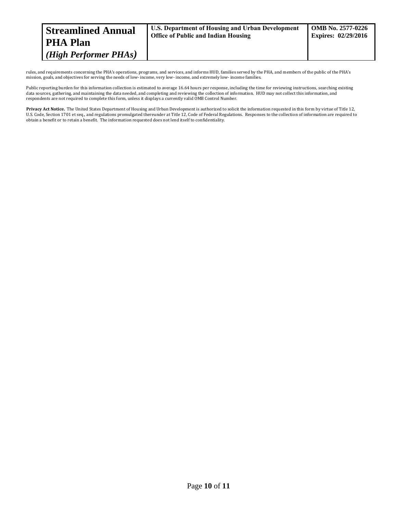| <b>Streamlined Annual</b>                      | U.S. Department of Housing and Urban Development | <b>OMB</b> No. 2577-0226   |
|------------------------------------------------|--------------------------------------------------|----------------------------|
| <b>PHA Plan</b>                                | <b>Office of Public and Indian Housing</b>       | <b>Expires: 02/29/2016</b> |
| $(High\,\textit{Performance} \,\textit{PHAs})$ |                                                  |                            |

rules, and requirements concerning the PHA's operations, programs, and services, and informs HUD, families served by the PHA, and members of the public of the PHA's mission, goals, and objectives for serving the needs of low- income, very low- income, and extremely low- income families.

Public reporting burden for this information collection is estimated to average 16.64 hours per response, including the time for reviewing instructions, searching existing data sources, gathering, and maintaining the data needed, and completing and reviewing the collection of information. HUD may not collect this information, and respondents are not required to complete this form, unless it displays a currently valid OMB Control Number.

**Privacy Act Notice.** The United States Department of Housing and Urban Development is authorized to solicit the information requested in this form by virtue of Title 12, U.S. Code, Section 1701 et seq., and regulations promulgated thereunder at Title 12, Code of Federal Regulations. Responses to the collection of information are required to obtain a benefit or to retain a benefit. The information requested does not lend itself to confidentiality.